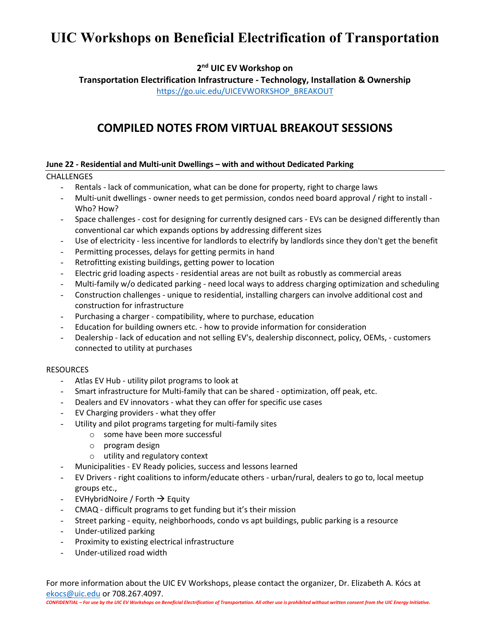**2nd UIC EV Workshop on** 

**Transportation Electrification Infrastructure - Technology, Installation & Ownership** https://go.uic.edu/UICEVWORKSHOP\_BREAKOUT

### **COMPILED NOTES FROM VIRTUAL BREAKOUT SESSIONS**

### **June 22 - Residential and Multi-unit Dwellings – with and without Dedicated Parking**

### CHALLENGES

- Rentals lack of communication, what can be done for property, right to charge laws
- Multi-unit dwellings owner needs to get permission, condos need board approval / right to install Who? How?
- Space challenges cost for designing for currently designed cars EVs can be designed differently than conventional car which expands options by addressing different sizes
- Use of electricity less incentive for landlords to electrify by landlords since they don't get the benefit
- Permitting processes, delays for getting permits in hand
- Retrofitting existing buildings, getting power to location
- Electric grid loading aspects residential areas are not built as robustly as commercial areas
- Multi-family w/o dedicated parking need local ways to address charging optimization and scheduling
- Construction challenges unique to residential, installing chargers can involve additional cost and construction for infrastructure
- Purchasing a charger compatibility, where to purchase, education
- Education for building owners etc. how to provide information for consideration
- Dealership lack of education and not selling EV's, dealership disconnect, policy, OEMs, customers connected to utility at purchases

### **RESOURCES**

- Atlas EV Hub utility pilot programs to look at
- Smart infrastructure for Multi-family that can be shared optimization, off peak, etc.
- Dealers and EV innovators what they can offer for specific use cases
- EV Charging providers what they offer
- Utility and pilot programs targeting for multi-family sites
	- o some have been more successful
	- o program design
	- o utility and regulatory context
- Municipalities EV Ready policies, success and lessons learned
- EV Drivers right coalitions to inform/educate others urban/rural, dealers to go to, local meetup groups etc.,
- EVHybridNoire / Forth  $\rightarrow$  Equity
- CMAQ difficult programs to get funding but it's their mission
- Street parking equity, neighborhoods, condo vs apt buildings, public parking is a resource
- Under-utilized parking
- Proximity to existing electrical infrastructure
- Under-utilized road width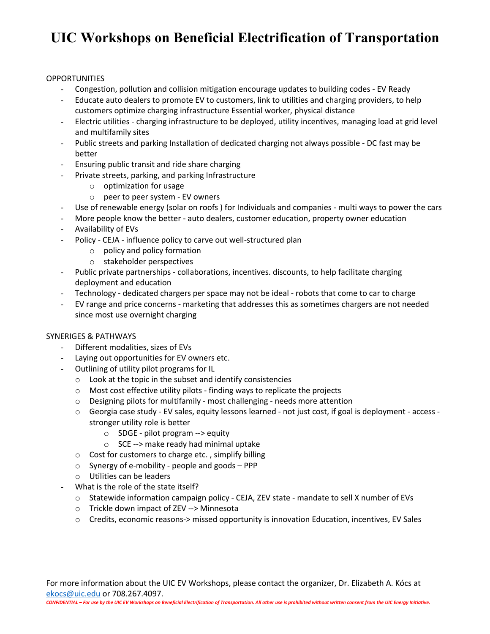#### **OPPORTUNITIES**

- Congestion, pollution and collision mitigation encourage updates to building codes EV Ready
- Educate auto dealers to promote EV to customers, link to utilities and charging providers, to help customers optimize charging infrastructure Essential worker, physical distance
- Electric utilities charging infrastructure to be deployed, utility incentives, managing load at grid level and multifamily sites
- Public streets and parking Installation of dedicated charging not always possible DC fast may be better
- Ensuring public transit and ride share charging
- Private streets, parking, and parking Infrastructure
	- o optimization for usage
	- o peer to peer system EV owners
- Use of renewable energy (solar on roofs ) for Individuals and companies multi ways to power the cars
- More people know the better auto dealers, customer education, property owner education
- Availability of EVs
- Policy CEJA influence policy to carve out well-structured plan
	- o policy and policy formation
	- o stakeholder perspectives
- Public private partnerships collaborations, incentives. discounts, to help facilitate charging deployment and education
- Technology dedicated chargers per space may not be ideal robots that come to car to charge
- EV range and price concerns marketing that addresses this as sometimes chargers are not needed since most use overnight charging

### SYNERIGES & PATHWAYS

- Different modalities, sizes of EVs
- Laying out opportunities for EV owners etc.
- Outlining of utility pilot programs for IL
	- o Look at the topic in the subset and identify consistencies
	- o Most cost effective utility pilots finding ways to replicate the projects
	- o Designing pilots for multifamily most challenging needs more attention
	- o Georgia case study EV sales, equity lessons learned not just cost, if goal is deployment access stronger utility role is better
		- o SDGE pilot program --> equity
		- o SCE --> make ready had minimal uptake
	- o Cost for customers to charge etc. , simplify billing
	- o Synergy of e-mobility people and goods PPP
	- o Utilities can be leaders
- What is the role of the state itself?
	- o Statewide information campaign policy CEJA, ZEV state mandate to sell X number of EVs
	- o Trickle down impact of ZEV --> Minnesota
	- o Credits, economic reasons-> missed opportunity is innovation Education, incentives, EV Sales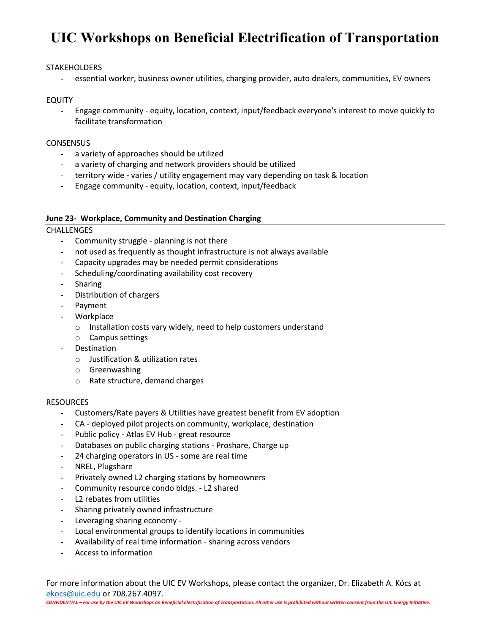### **STAKEHOLDERS**

- essential worker, business owner utilities, charging provider, auto dealers, communities, EV owners

### EQUITY

- Engage community - equity, location, context, input/feedback everyone's interest to move quickly to facilitate transformation

### **CONSENSUS**

- a variety of approaches should be utilized
- a variety of charging and network providers should be utilized
- territory wide varies / utility engagement may vary depending on task & location
- Engage community equity, location, context, input/feedback

### **June 23- Workplace, Community and Destination Charging**

### **CHALLENGES**

- Community struggle planning is not there
- not used as frequently as thought infrastructure is not always available
- Capacity upgrades may be needed permit considerations
- Scheduling/coordinating availability cost recovery
- Sharing
- Distribution of chargers
- Payment
- Workplace
	- o Installation costs vary widely, need to help customers understand
	- o Campus settings
- Destination
	- o Justification & utilization rates
	- o Greenwashing
	- o Rate structure, demand charges

### **RESOURCES**

- Customers/Rate payers & Utilities have greatest benefit from EV adoption
- CA deployed pilot projects on community, workplace, destination
- Public policy Atlas EV Hub great resource
- Databases on public charging stations Proshare, Charge up
- 24 charging operators in US some are real time
- NREL, Plugshare
- Privately owned L2 charging stations by homeowners
- Community resource condo bldgs. L2 shared
- L2 rebates from utilities
- Sharing privately owned infrastructure
- Leveraging sharing economy -
- Local environmental groups to identify locations in communities
- Availability of real time information sharing across vendors
- Access to information

For more information about the UIC EV Workshops, please contact the organizer, Dr. Elizabeth A. Kócs at ekocs@uic.edu or 708.267.4097.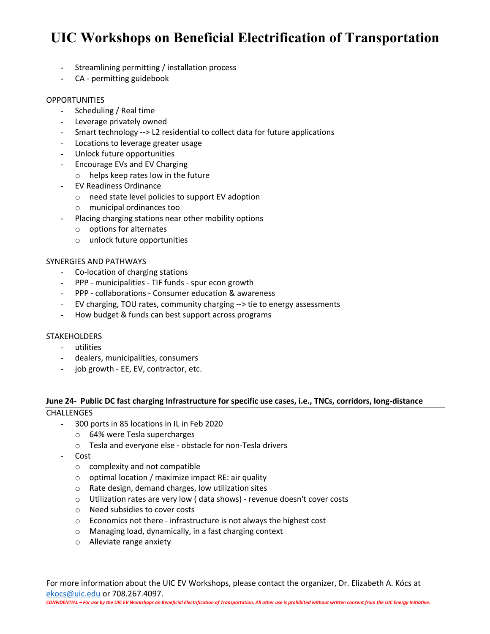- Streamlining permitting / installation process
- CA permitting guidebook

### OPPORTUNITIES

- Scheduling / Real time
- Leverage privately owned
- Smart technology --> L2 residential to collect data for future applications
- Locations to leverage greater usage
- Unlock future opportunities
- Encourage EVs and EV Charging
	- o helps keep rates low in the future
- EV Readiness Ordinance
	- o need state level policies to support EV adoption
	- o municipal ordinances too
- Placing charging stations near other mobility options
	- o options for alternates
	- o unlock future opportunities

### SYNERGIES AND PATHWAYS

- Co-location of charging stations
- PPP municipalities TIF funds spur econ growth
- PPP collaborations Consumer education & awareness
- EV charging, TOU rates, community charging --> tie to energy assessments
- How budget & funds can best support across programs

### **STAKEHOLDERS**

- utilities
- dealers, municipalities, consumers
- job growth EE, EV, contractor, etc.

#### **June 24- Public DC fast charging Infrastructure for specific use cases, i.e., TNCs, corridors, long-distance CHALLENGES**

- 300 ports in 85 locations in IL in Feb 2020
	- o 64% were Tesla supercharges
	- o Tesla and everyone else obstacle for non-Tesla drivers
- Cost
	- o complexity and not compatible
	- $\circ$  optimal location / maximize impact RE: air quality
	- o Rate design, demand charges, low utilization sites
	- o Utilization rates are very low ( data shows) revenue doesn't cover costs
	- o Need subsidies to cover costs
	- o Economics not there infrastructure is not always the highest cost
	- o Managing load, dynamically, in a fast charging context
	- o Alleviate range anxiety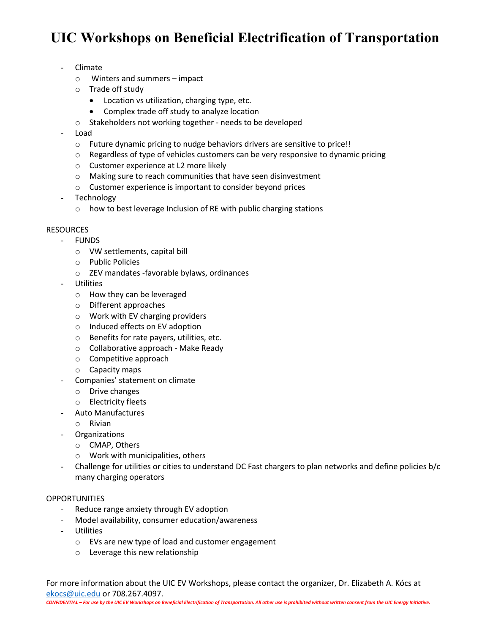- Climate
	- o Winters and summers impact
	- o Trade off study
		- Location vs utilization, charging type, etc.
		- Complex trade off study to analyze location
	- o Stakeholders not working together needs to be developed
- Load
	- o Future dynamic pricing to nudge behaviors drivers are sensitive to price!!
	- $\circ$  Regardless of type of vehicles customers can be very responsive to dynamic pricing
	- o Customer experience at L2 more likely
	- o Making sure to reach communities that have seen disinvestment
	- o Customer experience is important to consider beyond prices
- **Technology** 
	- o how to best leverage Inclusion of RE with public charging stations

### **RESOURCES**

- FUNDS
	- o VW settlements, capital bill
	- o Public Policies
		- o ZEV mandates -favorable bylaws, ordinances
- **Utilities** 
	- o How they can be leveraged
	- o Different approaches
	- o Work with EV charging providers
	- o Induced effects on EV adoption
	- o Benefits for rate payers, utilities, etc.
	- o Collaborative approach Make Ready
	- o Competitive approach
	- o Capacity maps
- Companies' statement on climate
	- o Drive changes
	- o Electricity fleets
- Auto Manufactures
	- o Rivian
- Organizations
	- o CMAP, Others
	- o Work with municipalities, others
- Challenge for utilities or cities to understand DC Fast chargers to plan networks and define policies b/c many charging operators

### OPPORTUNITIES

- Reduce range anxiety through EV adoption
- Model availability, consumer education/awareness
- Utilities
	- o EVs are new type of load and customer engagement
	- o Leverage this new relationship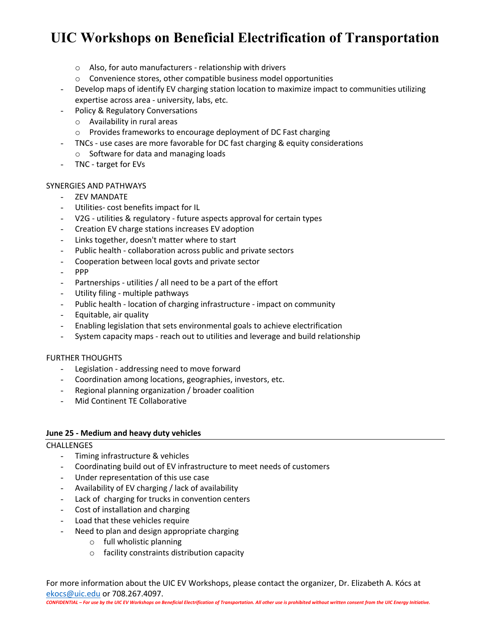- o Also, for auto manufacturers relationship with drivers
- o Convenience stores, other compatible business model opportunities
- Develop maps of identify EV charging station location to maximize impact to communities utilizing expertise across area - university, labs, etc.
- Policy & Regulatory Conversations
	- o Availability in rural areas
	- o Provides frameworks to encourage deployment of DC Fast charging
- TNCs use cases are more favorable for DC fast charging & equity considerations
	- o Software for data and managing loads
- TNC target for EVs

### SYNERGIES AND PATHWAYS

- ZEV MANDATE
- Utilities- cost benefits impact for IL
- V2G utilities & regulatory future aspects approval for certain types
- Creation EV charge stations increases EV adoption
- Links together, doesn't matter where to start
- Public health collaboration across public and private sectors
- Cooperation between local govts and private sector
- PPP
- Partnerships utilities / all need to be a part of the effort
- Utility filing multiple pathways
- Public health location of charging infrastructure impact on community
- Equitable, air quality
- Enabling legislation that sets environmental goals to achieve electrification
- System capacity maps reach out to utilities and leverage and build relationship

### FURTHER THOUGHTS

- Legislation addressing need to move forward
- Coordination among locations, geographies, investors, etc.
- Regional planning organization / broader coalition
- Mid Continent TE Collaborative

### **June 25 - Medium and heavy duty vehicles**

### **CHALLENGES**

- Timing infrastructure & vehicles
- Coordinating build out of EV infrastructure to meet needs of customers
- Under representation of this use case
- Availability of EV charging / lack of availability
- Lack of charging for trucks in convention centers
- Cost of installation and charging
- Load that these vehicles require
- Need to plan and design appropriate charging
	- o full wholistic planning
	- o facility constraints distribution capacity

For more information about the UIC EV Workshops, please contact the organizer, Dr. Elizabeth A. Kócs at ekocs@uic.edu or 708.267.4097.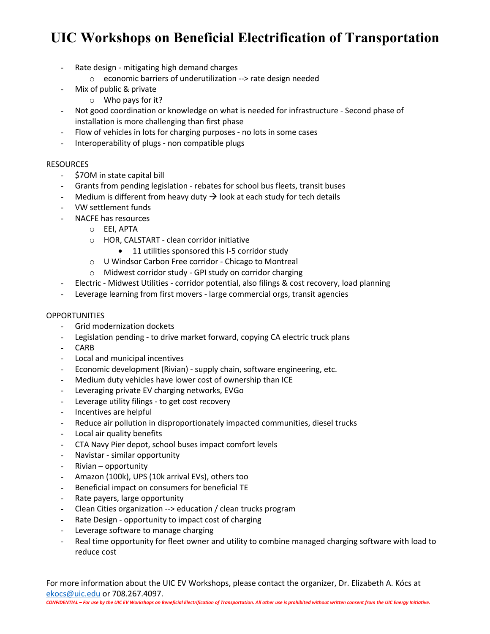- Rate design mitigating high demand charges
	- o economic barriers of underutilization --> rate design needed
- Mix of public & private
	- o Who pays for it?
- Not good coordination or knowledge on what is needed for infrastructure Second phase of installation is more challenging than first phase
- Flow of vehicles in lots for charging purposes no lots in some cases
- Interoperability of plugs non compatible plugs

### **RESOURCES**

- \$7OM in state capital bill
- Grants from pending legislation rebates for school bus fleets, transit buses
- Medium is different from heavy duty  $\rightarrow$  look at each study for tech details
- VW settlement funds
- NACFE has resources
	- o EEI, APTA
	- o HOR, CALSTART clean corridor initiative
		- 11 utilities sponsored this I-5 corridor study
	- o U Windsor Carbon Free corridor Chicago to Montreal
	- o Midwest corridor study GPI study on corridor charging
- Electric Midwest Utilities corridor potential, also filings & cost recovery, load planning
- Leverage learning from first movers large commercial orgs, transit agencies

#### **OPPORTUNITIES**

- Grid modernization dockets
- Legislation pending to drive market forward, copying CA electric truck plans
- CARB
- Local and municipal incentives
- Economic development (Rivian) supply chain, software engineering, etc.
- Medium duty vehicles have lower cost of ownership than ICE
- Leveraging private EV charging networks, EVGo
- Leverage utility filings to get cost recovery
- Incentives are helpful
- Reduce air pollution in disproportionately impacted communities, diesel trucks
- Local air quality benefits
- CTA Navy Pier depot, school buses impact comfort levels
- Navistar similar opportunity
- Rivian opportunity
- Amazon (100k), UPS (10k arrival EVs), others too
- Beneficial impact on consumers for beneficial TE
- Rate payers, large opportunity
- Clean Cities organization --> education / clean trucks program
- Rate Design opportunity to impact cost of charging
- Leverage software to manage charging
- Real time opportunity for fleet owner and utility to combine managed charging software with load to reduce cost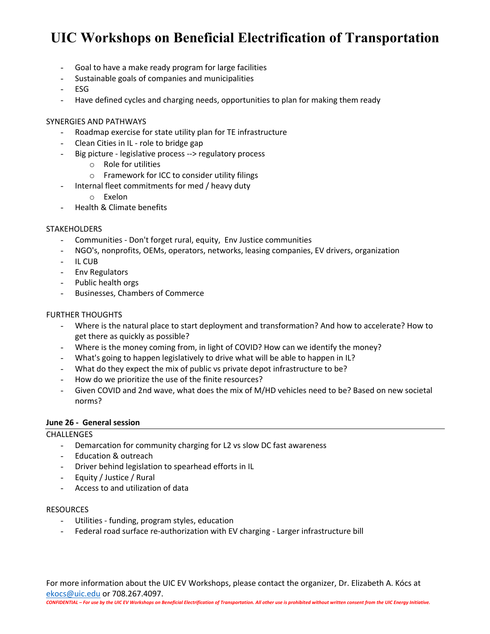- Goal to have a make ready program for large facilities
- Sustainable goals of companies and municipalities
- ESG
- Have defined cycles and charging needs, opportunities to plan for making them ready

### SYNERGIES AND PATHWAYS

- Roadmap exercise for state utility plan for TE infrastructure
- Clean Cities in IL role to bridge gap
- Big picture legislative process --> regulatory process
	- o Role for utilities
	- o Framework for ICC to consider utility filings
- Internal fleet commitments for med / heavy duty
	- o Exelon
- Health & Climate benefits

### **STAKEHOLDERS**

- Communities Don't forget rural, equity, Env Justice communities
- NGO's, nonprofits, OEMs, operators, networks, leasing companies, EV drivers, organization
- IL CUB
- Env Regulators
- Public health orgs
- Businesses, Chambers of Commerce

### FURTHER THOUGHTS

- Where is the natural place to start deployment and transformation? And how to accelerate? How to get there as quickly as possible?
- Where is the money coming from, in light of COVID? How can we identify the money?
- What's going to happen legislatively to drive what will be able to happen in IL?
- What do they expect the mix of public vs private depot infrastructure to be?
- How do we prioritize the use of the finite resources?
- Given COVID and 2nd wave, what does the mix of M/HD vehicles need to be? Based on new societal norms?

### **June 26 - General session**

### **CHALLENGES**

- Demarcation for community charging for L2 vs slow DC fast awareness
- Education & outreach
- Driver behind legislation to spearhead efforts in IL
- Equity / Justice / Rural
- Access to and utilization of data

### **RESOURCES**

- Utilities funding, program styles, education
- Federal road surface re-authorization with EV charging Larger infrastructure bill